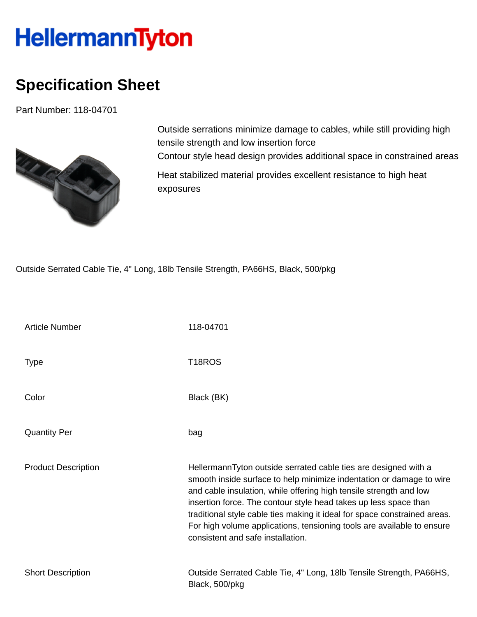## **HellermannTyton**

## **Specification Sheet**

Part Number: 118-04701



Outside serrations minimize damage to cables, while still providing high tensile strength and low insertion force Contour style head design provides additional space in constrained areas

Heat stabilized material provides excellent resistance to high heat exposures

Outside Serrated Cable Tie, 4" Long, 18lb Tensile Strength, PA66HS, Black, 500/pkg

| <b>Article Number</b>      | 118-04701                                                                                                                                                                                                                                                                                                                                                                                                                                                                     |
|----------------------------|-------------------------------------------------------------------------------------------------------------------------------------------------------------------------------------------------------------------------------------------------------------------------------------------------------------------------------------------------------------------------------------------------------------------------------------------------------------------------------|
| <b>Type</b>                | T <sub>18</sub> ROS                                                                                                                                                                                                                                                                                                                                                                                                                                                           |
| Color                      | Black (BK)                                                                                                                                                                                                                                                                                                                                                                                                                                                                    |
| <b>Quantity Per</b>        | bag                                                                                                                                                                                                                                                                                                                                                                                                                                                                           |
| <b>Product Description</b> | HellermannTyton outside serrated cable ties are designed with a<br>smooth inside surface to help minimize indentation or damage to wire<br>and cable insulation, while offering high tensile strength and low<br>insertion force. The contour style head takes up less space than<br>traditional style cable ties making it ideal for space constrained areas.<br>For high volume applications, tensioning tools are available to ensure<br>consistent and safe installation. |
| <b>Short Description</b>   | Outside Serrated Cable Tie, 4" Long, 18lb Tensile Strength, PA66HS,<br>Black, 500/pkg                                                                                                                                                                                                                                                                                                                                                                                         |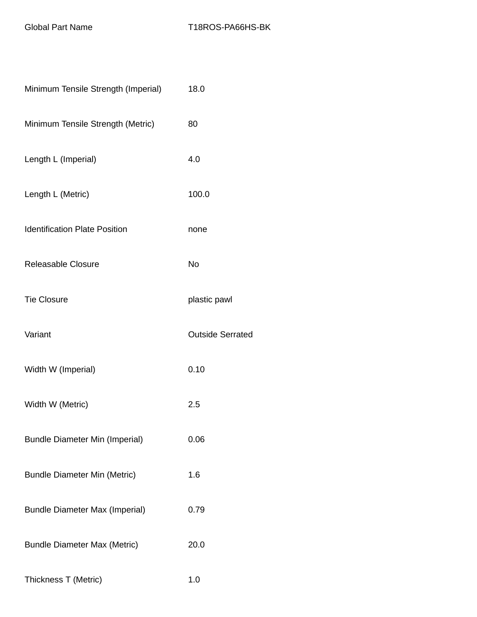| Minimum Tensile Strength (Imperial)   | 18.0                    |
|---------------------------------------|-------------------------|
| Minimum Tensile Strength (Metric)     | 80                      |
| Length L (Imperial)                   | 4.0                     |
| Length L (Metric)                     | 100.0                   |
| <b>Identification Plate Position</b>  | none                    |
| Releasable Closure                    | <b>No</b>               |
| <b>Tie Closure</b>                    | plastic pawl            |
| Variant                               | <b>Outside Serrated</b> |
| Width W (Imperial)                    | 0.10                    |
| Width W (Metric)                      | 2.5                     |
| <b>Bundle Diameter Min (Imperial)</b> | 0.06                    |
| <b>Bundle Diameter Min (Metric)</b>   | 1.6                     |
| <b>Bundle Diameter Max (Imperial)</b> | 0.79                    |
| <b>Bundle Diameter Max (Metric)</b>   | 20.0                    |
| Thickness T (Metric)                  | 1.0                     |